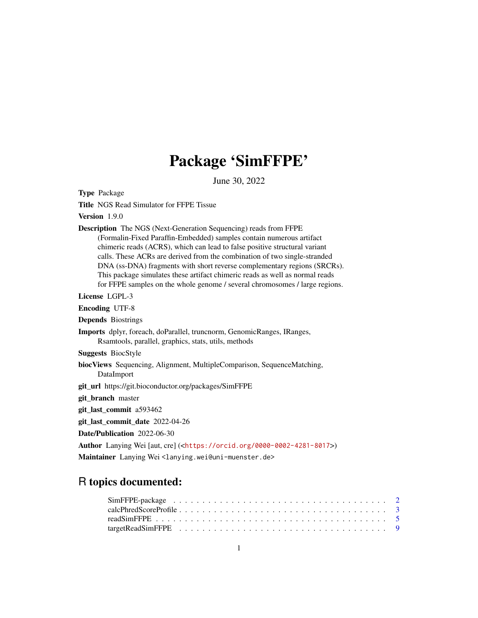## Package 'SimFFPE'

June 30, 2022

<span id="page-0-0"></span>Type Package Title NGS Read Simulator for FFPE Tissue Version 1.9.0 Description The NGS (Next-Generation Sequencing) reads from FFPE (Formalin-Fixed Paraffin-Embedded) samples contain numerous artifact chimeric reads (ACRS), which can lead to false positive structural variant calls. These ACRs are derived from the combination of two single-stranded DNA (ss-DNA) fragments with short reverse complementary regions (SRCRs). This package simulates these artifact chimeric reads as well as normal reads for FFPE samples on the whole genome / several chromosomes / large regions. License LGPL-3 Encoding UTF-8 Depends Biostrings Imports dplyr, foreach, doParallel, truncnorm, GenomicRanges, IRanges, Rsamtools, parallel, graphics, stats, utils, methods Suggests BiocStyle biocViews Sequencing, Alignment, MultipleComparison, SequenceMatching, DataImport git\_url https://git.bioconductor.org/packages/SimFFPE git\_branch master git\_last\_commit a593462 git last commit date 2022-04-26 Date/Publication 2022-06-30 Author Lanying Wei [aut, cre] (<<https://orcid.org/0000-0002-4281-8017>>) Maintainer Lanying Wei<lanying.wei@uni-muenster.de>

### R topics documented:

| $targetReadSimٻ_{FPE} \dots \dots \dots \dots \dots \dots \dots \dots \dots \dots \dots \dots \dots$ |  |  |  |  |  |  |  |  |  |  |  |  |  |  |  |  |  |  |
|------------------------------------------------------------------------------------------------------|--|--|--|--|--|--|--|--|--|--|--|--|--|--|--|--|--|--|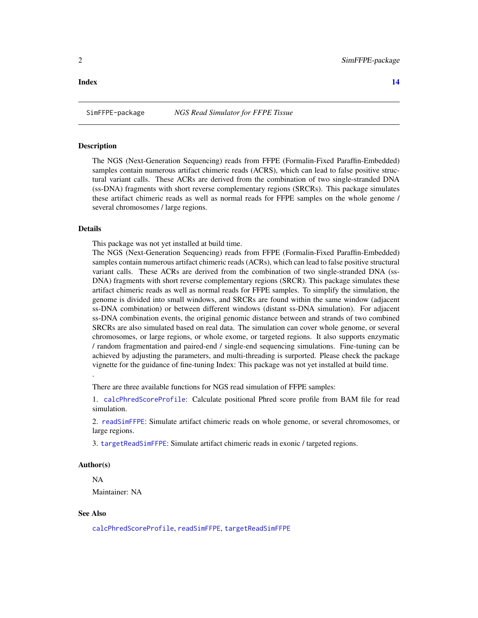#### <span id="page-1-0"></span>**Index** 2008 **[14](#page-13-0)**

#### <span id="page-1-1"></span>**Description**

The NGS (Next-Generation Sequencing) reads from FFPE (Formalin-Fixed Paraffin-Embedded) samples contain numerous artifact chimeric reads (ACRS), which can lead to false positive structural variant calls. These ACRs are derived from the combination of two single-stranded DNA (ss-DNA) fragments with short reverse complementary regions (SRCRs). This package simulates these artifact chimeric reads as well as normal reads for FFPE samples on the whole genome / several chromosomes / large regions.

#### Details

This package was not yet installed at build time.

The NGS (Next-Generation Sequencing) reads from FFPE (Formalin-Fixed Paraffin-Embedded) samples contain numerous artifact chimeric reads (ACRs), which can lead to false positive structural variant calls. These ACRs are derived from the combination of two single-stranded DNA (ss-DNA) fragments with short reverse complementary regions (SRCR). This package simulates these artifact chimeric reads as well as normal reads for FFPE samples. To simplify the simulation, the genome is divided into small windows, and SRCRs are found within the same window (adjacent ss-DNA combination) or between different windows (distant ss-DNA simulation). For adjacent ss-DNA combination events, the original genomic distance between and strands of two combined SRCRs are also simulated based on real data. The simulation can cover whole genome, or several chromosomes, or large regions, or whole exome, or targeted regions. It also supports enzymatic / random fragmentation and paired-end / single-end sequencing simulations. Fine-tuning can be achieved by adjusting the parameters, and multi-threading is surported. Please check the package vignette for the guidance of fine-tuning Index: This package was not yet installed at build time.

There are three available functions for NGS read simulation of FFPE samples:

1. [calcPhredScoreProfile](#page-2-1): Calculate positional Phred score profile from BAM file for read simulation.

2. [readSimFFPE](#page-4-1): Simulate artifact chimeric reads on whole genome, or several chromosomes, or large regions.

3. [targetReadSimFFPE](#page-8-1): Simulate artifact chimeric reads in exonic / targeted regions.

#### Author(s)

.

NA

Maintainer: NA

#### See Also

[calcPhredScoreProfile](#page-2-1), [readSimFFPE](#page-4-1), [targetReadSimFFPE](#page-8-1)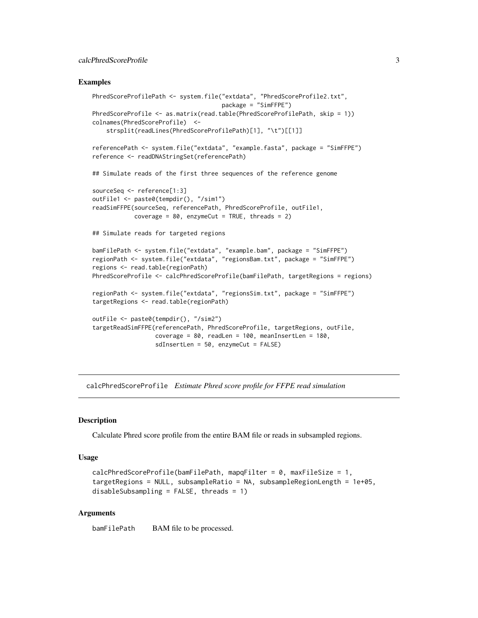#### <span id="page-2-0"></span>calcPhredScoreProfile 3

#### Examples

```
PhredScoreProfilePath <- system.file("extdata", "PhredScoreProfile2.txt",
                                     package = "SimFFPE")
PhredScoreProfile <- as.matrix(read.table(PhredScoreProfilePath, skip = 1))
colnames(PhredScoreProfile) <-
    strsplit(readLines(PhredScoreProfilePath)[1], "\t")[[1]]
referencePath <- system.file("extdata", "example.fasta", package = "SimFFPE")
reference <- readDNAStringSet(referencePath)
## Simulate reads of the first three sequences of the reference genome
sourceSeq <- reference[1:3]
outFile1 <- paste0(tempdir(), "/sim1")
readSimFFPE(sourceSeq, referencePath, PhredScoreProfile, outFile1,
            coverage = 80, enzymeCut = TRUE, threads = 2)## Simulate reads for targeted regions
bamFilePath <- system.file("extdata", "example.bam", package = "SimFFPE")
regionPath <- system.file("extdata", "regionsBam.txt", package = "SimFFPE")
regions <- read.table(regionPath)
PhredScoreProfile <- calcPhredScoreProfile(bamFilePath, targetRegions = regions)
regionPath <- system.file("extdata", "regionsSim.txt", package = "SimFFPE")
targetRegions <- read.table(regionPath)
outFile <- paste0(tempdir(), "/sim2")
targetReadSimFFPE(referencePath, PhredScoreProfile, targetRegions, outFile,
                  coverage = 80, readLen = 100, meanInsertLen = 180,
                  sdInsertLen = 50, enzymeCut = FALSE)
```
<span id="page-2-1"></span>calcPhredScoreProfile *Estimate Phred score profile for FFPE read simulation*

#### **Description**

Calculate Phred score profile from the entire BAM file or reads in subsampled regions.

#### Usage

```
calcPhredScoreProfile(bamFilePath, mapqFilter = 0, maxFileSize = 1,
targetRegions = NULL, subsampleRatio = NA, subsampleRegionLength = 1e+05,
disableSubsampling = FALSE, threads = 1)
```
#### Arguments

bamFilePath BAM file to be processed.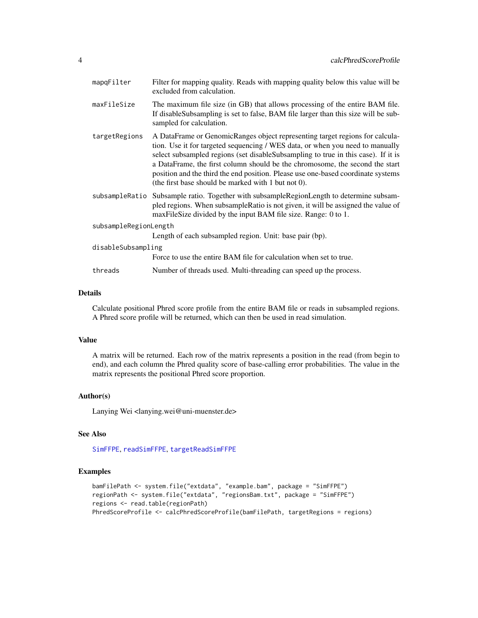<span id="page-3-0"></span>

| mapqFilter            | Filter for mapping quality. Reads with mapping quality below this value will be<br>excluded from calculation.                                                                                                                                                                                                                                                                                                                                                                 |
|-----------------------|-------------------------------------------------------------------------------------------------------------------------------------------------------------------------------------------------------------------------------------------------------------------------------------------------------------------------------------------------------------------------------------------------------------------------------------------------------------------------------|
| maxFileSize           | The maximum file size (in GB) that allows processing of the entire BAM file.<br>If disable Subsampling is set to false, BAM file larger than this size will be sub-<br>sampled for calculation.                                                                                                                                                                                                                                                                               |
| targetRegions         | A DataFrame or GenomicRanges object representing target regions for calcula-<br>tion. Use it for targeted sequencing / WES data, or when you need to manually<br>select subsampled regions (set disableSubsampling to true in this case). If it is<br>a DataFrame, the first column should be the chromosome, the second the start<br>position and the third the end position. Please use one-based coordinate systems<br>(the first base should be marked with 1 but not 0). |
|                       | subsampleRatio Subsample ratio. Together with subsampleRegionLength to determine subsam-<br>pled regions. When subsampleRatio is not given, it will be assigned the value of<br>maxFileSize divided by the input BAM file size. Range: 0 to 1.                                                                                                                                                                                                                                |
| subsampleRegionLength |                                                                                                                                                                                                                                                                                                                                                                                                                                                                               |
|                       | Length of each subsampled region. Unit: base pair (bp).                                                                                                                                                                                                                                                                                                                                                                                                                       |
| disableSubsampling    |                                                                                                                                                                                                                                                                                                                                                                                                                                                                               |
|                       | Force to use the entire BAM file for calculation when set to true.                                                                                                                                                                                                                                                                                                                                                                                                            |
| threads               | Number of threads used. Multi-threading can speed up the process.                                                                                                                                                                                                                                                                                                                                                                                                             |
|                       |                                                                                                                                                                                                                                                                                                                                                                                                                                                                               |

#### Details

Calculate positional Phred score profile from the entire BAM file or reads in subsampled regions. A Phred score profile will be returned, which can then be used in read simulation.

#### Value

A matrix will be returned. Each row of the matrix represents a position in the read (from begin to end), and each column the Phred quality score of base-calling error probabilities. The value in the matrix represents the positional Phred score proportion.

#### Author(s)

Lanying Wei <lanying.wei@uni-muenster.de>

#### See Also

[SimFFPE](#page-1-1), [readSimFFPE](#page-4-1), [targetReadSimFFPE](#page-8-1)

#### Examples

```
bamFilePath <- system.file("extdata", "example.bam", package = "SimFFPE")
regionPath <- system.file("extdata", "regionsBam.txt", package = "SimFFPE")
regions <- read.table(regionPath)
PhredScoreProfile <- calcPhredScoreProfile(bamFilePath, targetRegions = regions)
```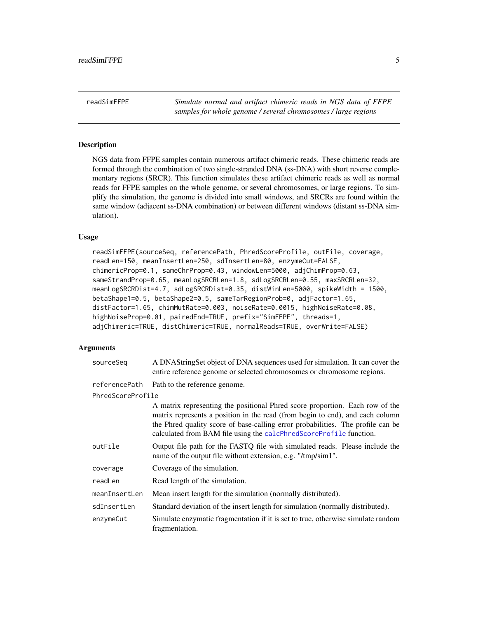<span id="page-4-1"></span><span id="page-4-0"></span>readSimFFPE *Simulate normal and artifact chimeric reads in NGS data of FFPE samples for whole genome / several chromosomes / large regions*

#### Description

NGS data from FFPE samples contain numerous artifact chimeric reads. These chimeric reads are formed through the combination of two single-stranded DNA (ss-DNA) with short reverse complementary regions (SRCR). This function simulates these artifact chimeric reads as well as normal reads for FFPE samples on the whole genome, or several chromosomes, or large regions. To simplify the simulation, the genome is divided into small windows, and SRCRs are found within the same window (adjacent ss-DNA combination) or between different windows (distant ss-DNA simulation).

#### Usage

```
readSimFFPE(sourceSeq, referencePath, PhredScoreProfile, outFile, coverage,
readLen=150, meanInsertLen=250, sdInsertLen=80, enzymeCut=FALSE,
chimericProp=0.1, sameChrProp=0.43, windowLen=5000, adjChimProp=0.63,
sameStrandProp=0.65, meanLogSRCRLen=1.8, sdLogSRCRLen=0.55, maxSRCRLen=32,
meanLogSRCRDist=4.7, sdLogSRCRDist=0.35, distWinLen=5000, spikeWidth = 1500,
betaShape1=0.5, betaShape2=0.5, sameTarRegionProb=0, adjFactor=1.65,
distFactor=1.65, chimMutRate=0.003, noiseRate=0.0015, highNoiseRate=0.08,
highNoiseProp=0.01, pairedEnd=TRUE, prefix="SimFFPE", threads=1,
adjChimeric=TRUE, distChimeric=TRUE, normalReads=TRUE, overWrite=FALSE)
```
#### Arguments

| sourceSeg         | A DNAStringSet object of DNA sequences used for simulation. It can cover the<br>entire reference genome or selected chromosomes or chromosome regions.                                                                                                                                                                 |
|-------------------|------------------------------------------------------------------------------------------------------------------------------------------------------------------------------------------------------------------------------------------------------------------------------------------------------------------------|
| referencePath     | Path to the reference genome.                                                                                                                                                                                                                                                                                          |
| PhredScoreProfile |                                                                                                                                                                                                                                                                                                                        |
|                   | A matrix representing the positional Phred score proportion. Each row of the<br>matrix represents a position in the read (from begin to end), and each column<br>the Phred quality score of base-calling error probabilities. The profile can be<br>calculated from BAM file using the calcPhredScoreProfile function. |
| outFile           | Output file path for the FASTQ file with simulated reads. Please include the<br>name of the output file without extension, e.g. "/tmp/sim1".                                                                                                                                                                           |
| coverage          | Coverage of the simulation.                                                                                                                                                                                                                                                                                            |
| readLen           | Read length of the simulation.                                                                                                                                                                                                                                                                                         |
| meanInsertLen     | Mean insert length for the simulation (normally distributed).                                                                                                                                                                                                                                                          |
| sdInsertLen       | Standard deviation of the insert length for simulation (normally distributed).                                                                                                                                                                                                                                         |
| enzvmeCut         | Simulate enzymatic fragmentation if it is set to true, otherwise simulate random<br>fragmentation.                                                                                                                                                                                                                     |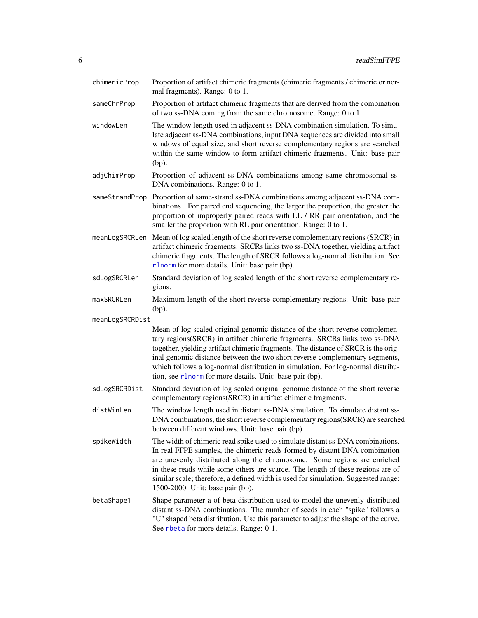<span id="page-5-0"></span>

| chimericProp    | Proportion of artifact chimeric fragments (chimeric fragments / chimeric or nor-<br>mal fragments). Range: 0 to 1.                                                                                                                                                                                                                                                                                                                                                           |
|-----------------|------------------------------------------------------------------------------------------------------------------------------------------------------------------------------------------------------------------------------------------------------------------------------------------------------------------------------------------------------------------------------------------------------------------------------------------------------------------------------|
| sameChrProp     | Proportion of artifact chimeric fragments that are derived from the combination<br>of two ss-DNA coming from the same chromosome. Range: 0 to 1.                                                                                                                                                                                                                                                                                                                             |
| windowLen       | The window length used in adjacent ss-DNA combination simulation. To simu-<br>late adjacent ss-DNA combinations, input DNA sequences are divided into small<br>windows of equal size, and short reverse complementary regions are searched<br>within the same window to form artifact chimeric fragments. Unit: base pair<br>$(bp)$ .                                                                                                                                        |
| adjChimProp     | Proportion of adjacent ss-DNA combinations among same chromosomal ss-<br>DNA combinations. Range: 0 to 1.                                                                                                                                                                                                                                                                                                                                                                    |
| sameStrandProp  | Proportion of same-strand ss-DNA combinations among adjacent ss-DNA com-<br>binations. For paired end sequencing, the larger the proportion, the greater the<br>proportion of improperly paired reads with LL / RR pair orientation, and the<br>smaller the proportion with RL pair orientation. Range: 0 to 1.                                                                                                                                                              |
|                 | meanLogSRCRLen Mean of log scaled length of the short reverse complementary regions (SRCR) in<br>artifact chimeric fragments. SRCRs links two ss-DNA together, yielding artifact<br>chimeric fragments. The length of SRCR follows a log-normal distribution. See<br>rlnorm for more details. Unit: base pair (bp).                                                                                                                                                          |
| sdLogSRCRLen    | Standard deviation of log scaled length of the short reverse complementary re-<br>gions.                                                                                                                                                                                                                                                                                                                                                                                     |
| maxSRCRLen      | Maximum length of the short reverse complementary regions. Unit: base pair<br>(bp).                                                                                                                                                                                                                                                                                                                                                                                          |
| meanLogSRCRDist |                                                                                                                                                                                                                                                                                                                                                                                                                                                                              |
|                 | Mean of log scaled original genomic distance of the short reverse complemen-<br>tary regions(SRCR) in artifact chimeric fragments. SRCRs links two ss-DNA<br>together, yielding artifact chimeric fragments. The distance of SRCR is the orig-<br>inal genomic distance between the two short reverse complementary segments,<br>which follows a log-normal distribution in simulation. For log-normal distribu-<br>tion, see r1norm for more details. Unit: base pair (bp). |
| sdLogSRCRDist   | Standard deviation of log scaled original genomic distance of the short reverse<br>complementary regions(SRCR) in artifact chimeric fragments.                                                                                                                                                                                                                                                                                                                               |
| distWinLen      | The window length used in distant ss-DNA simulation. To simulate distant ss-<br>DNA combinations, the short reverse complementary regions (SRCR) are searched<br>between different windows. Unit: base pair (bp).                                                                                                                                                                                                                                                            |
| spikeWidth      | The width of chimeric read spike used to simulate distant ss-DNA combinations.<br>In real FFPE samples, the chimeric reads formed by distant DNA combination<br>are unevenly distributed along the chromosome. Some regions are enriched<br>in these reads while some others are scarce. The length of these regions are of<br>similar scale; therefore, a defined width is used for simulation. Suggested range:<br>1500-2000. Unit: base pair (bp).                        |
| betaShape1      | Shape parameter a of beta distribution used to model the unevenly distributed<br>distant ss-DNA combinations. The number of seeds in each "spike" follows a<br>"U" shaped beta distribution. Use this parameter to adjust the shape of the curve.<br>See rbeta for more details. Range: 0-1.                                                                                                                                                                                 |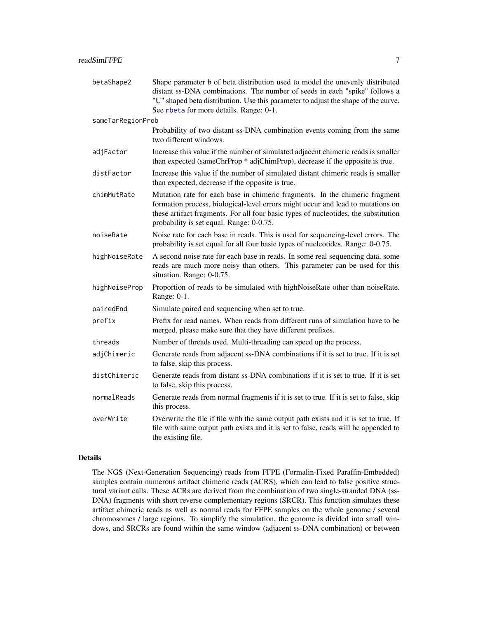<span id="page-6-0"></span>

| betaShape2        | Shape parameter b of beta distribution used to model the unevenly distributed<br>distant ss-DNA combinations. The number of seeds in each "spike" follows a<br>"U" shaped beta distribution. Use this parameter to adjust the shape of the curve.<br>See rbeta for more details. Range: 0-1.      |
|-------------------|---------------------------------------------------------------------------------------------------------------------------------------------------------------------------------------------------------------------------------------------------------------------------------------------------|
| sameTarRegionProb |                                                                                                                                                                                                                                                                                                   |
|                   | Probability of two distant ss-DNA combination events coming from the same<br>two different windows.                                                                                                                                                                                               |
| adjFactor         | Increase this value if the number of simulated adjacent chimeric reads is smaller<br>than expected (sameChrProp * adjChimProp), decrease if the opposite is true.                                                                                                                                 |
| distFactor        | Increase this value if the number of simulated distant chimeric reads is smaller<br>than expected, decrease if the opposite is true.                                                                                                                                                              |
| chimMutRate       | Mutation rate for each base in chimeric fragments. In the chimeric fragment<br>formation process, biological-level errors might occur and lead to mutations on<br>these artifact fragments. For all four basic types of nucleotides, the substitution<br>probability is set equal. Range: 0-0.75. |
| noiseRate         | Noise rate for each base in reads. This is used for sequencing-level errors. The<br>probability is set equal for all four basic types of nucleotides. Range: 0-0.75.                                                                                                                              |
| highNoiseRate     | A second noise rate for each base in reads. In some real sequencing data, some<br>reads are much more noisy than others. This parameter can be used for this<br>situation. Range: 0-0.75.                                                                                                         |
| highNoiseProp     | Proportion of reads to be simulated with highNoiseRate other than noiseRate.<br>Range: 0-1.                                                                                                                                                                                                       |
| pairedEnd         | Simulate paired end sequencing when set to true.                                                                                                                                                                                                                                                  |
| prefix            | Prefix for read names. When reads from different runs of simulation have to be<br>merged, please make sure that they have different prefixes.                                                                                                                                                     |
| threads           | Number of threads used. Multi-threading can speed up the process.                                                                                                                                                                                                                                 |
| adjChimeric       | Generate reads from adjacent ss-DNA combinations if it is set to true. If it is set<br>to false, skip this process.                                                                                                                                                                               |
| distChimeric      | Generate reads from distant ss-DNA combinations if it is set to true. If it is set<br>to false, skip this process.                                                                                                                                                                                |
| normalReads       | Generate reads from normal fragments if it is set to true. If it is set to false, skip<br>this process.                                                                                                                                                                                           |
| overWrite         | Overwrite the file if file with the same output path exists and it is set to true. If<br>file with same output path exists and it is set to false, reads will be appended to<br>the existing file.                                                                                                |

#### Details

The NGS (Next-Generation Sequencing) reads from FFPE (Formalin-Fixed Paraffin-Embedded) samples contain numerous artifact chimeric reads (ACRS), which can lead to false positive structural variant calls. These ACRs are derived from the combination of two single-stranded DNA (ss-DNA) fragments with short reverse complementary regions (SRCR). This function simulates these artifact chimeric reads as well as normal reads for FFPE samples on the whole genome / several chromosomes / large regions. To simplify the simulation, the genome is divided into small windows, and SRCRs are found within the same window (adjacent ss-DNA combination) or between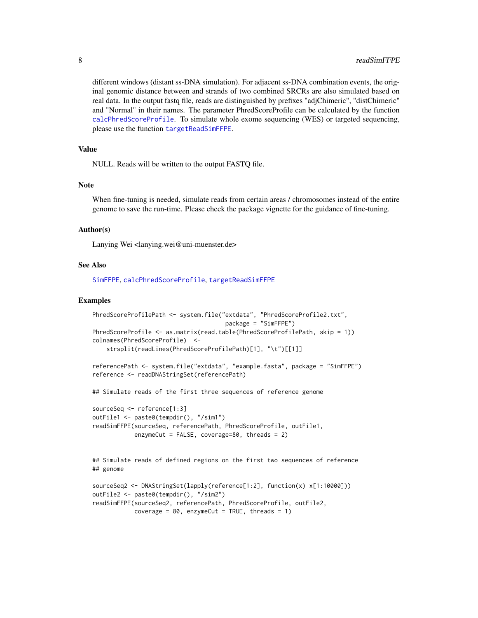different windows (distant ss-DNA simulation). For adjacent ss-DNA combination events, the original genomic distance between and strands of two combined SRCRs are also simulated based on real data. In the output fastq file, reads are distinguished by prefixes "adjChimeric", "distChimeric" and "Normal" in their names. The parameter PhredScoreProfile can be calculated by the function [calcPhredScoreProfile](#page-2-1). To simulate whole exome sequencing (WES) or targeted sequencing, please use the function [targetReadSimFFPE](#page-8-1).

#### Value

NULL. Reads will be written to the output FASTQ file.

#### **Note**

When fine-tuning is needed, simulate reads from certain areas / chromosomes instead of the entire genome to save the run-time. Please check the package vignette for the guidance of fine-tuning.

#### Author(s)

Lanying Wei <lanying.wei@uni-muenster.de>

#### See Also

[SimFFPE](#page-1-1), [calcPhredScoreProfile](#page-2-1), [targetReadSimFFPE](#page-8-1)

#### Examples

```
PhredScoreProfilePath <- system.file("extdata", "PhredScoreProfile2.txt",
                                      package = "SimFFPE")
PhredScoreProfile <- as.matrix(read.table(PhredScoreProfilePath, skip = 1))
colnames(PhredScoreProfile) <-
    strsplit(readLines(PhredScoreProfilePath)[1], "\t")[[1]]
referencePath <- system.file("extdata", "example.fasta", package = "SimFFPE")
reference <- readDNAStringSet(referencePath)
## Simulate reads of the first three sequences of reference genome
sourceSeq <- reference[1:3]
outFile1 <- paste0(tempdir(), "/sim1")
readSimFFPE(sourceSeq, referencePath, PhredScoreProfile, outFile1,
            enzymeCut = FALSE, coverage=80, threads = 2)
## Simulate reads of defined regions on the first two sequences of reference
## genome
```

```
sourceSeq2 <- DNAStringSet(lapply(reference[1:2], function(x) x[1:10000]))
outFile2 <- paste0(tempdir(), "/sim2")
readSimFFPE(sourceSeq2, referencePath, PhredScoreProfile, outFile2,
           coverage = 80, enzymeCut = TRUE, threads = 1)
```
<span id="page-7-0"></span>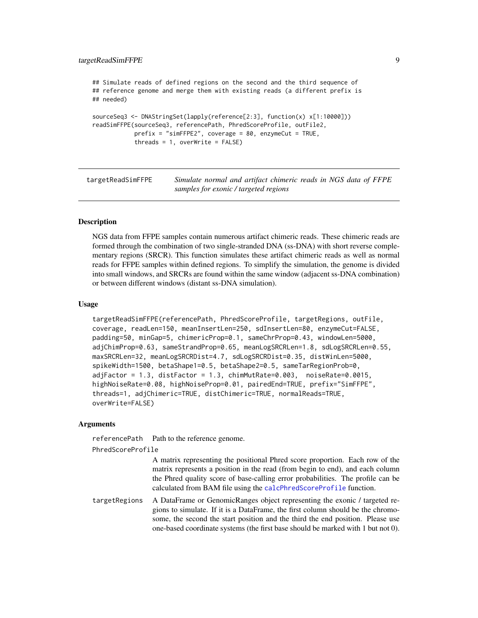#### <span id="page-8-0"></span>targetReadSimFFPE 9

```
## Simulate reads of defined regions on the second and the third sequence of
## reference genome and merge them with existing reads (a different prefix is
## needed)
sourceSeq3 <- DNAStringSet(lapply(reference[2:3], function(x) x[1:10000]))
readSimFFPE(sourceSeq3, referencePath, PhredScoreProfile, outFile2,
           prefix = "simFFPE2", coverage = 80, enzymeCut = TRUE,threads = 1, overWrite = FALSE)
```
<span id="page-8-1"></span>targetReadSimFFPE *Simulate normal and artifact chimeric reads in NGS data of FFPE samples for exonic / targeted regions*

#### Description

NGS data from FFPE samples contain numerous artifact chimeric reads. These chimeric reads are formed through the combination of two single-stranded DNA (ss-DNA) with short reverse complementary regions (SRCR). This function simulates these artifact chimeric reads as well as normal reads for FFPE samples within defined regions. To simplify the simulation, the genome is divided into small windows, and SRCRs are found within the same window (adjacent ss-DNA combination) or between different windows (distant ss-DNA simulation).

#### Usage

```
targetReadSimFFPE(referencePath, PhredScoreProfile, targetRegions, outFile,
coverage, readLen=150, meanInsertLen=250, sdInsertLen=80, enzymeCut=FALSE,
padding=50, minGap=5, chimericProp=0.1, sameChrProp=0.43, windowLen=5000,
adjChimProp=0.63, sameStrandProp=0.65, meanLogSRCRLen=1.8, sdLogSRCRLen=0.55,
maxSRCRLen=32, meanLogSRCRDist=4.7, sdLogSRCRDist=0.35, distWinLen=5000,
spikeWidth=1500, betaShape1=0.5, betaShape2=0.5, sameTarRegionProb=0,
adjFactor = 1.3, distFactor = 1.3, chimMutRate=0.003, noiseRate=0.0015,
highNoiseRate=0.08, highNoiseProp=0.01, pairedEnd=TRUE, prefix="SimFFPE",
threads=1, adjChimeric=TRUE, distChimeric=TRUE, normalReads=TRUE,
overWrite=FALSE)
```
#### Arguments

referencePath Path to the reference genome.

PhredScoreProfile

A matrix representing the positional Phred score proportion. Each row of the matrix represents a position in the read (from begin to end), and each column the Phred quality score of base-calling error probabilities. The profile can be calculated from BAM file using the [calcPhredScoreProfile](#page-2-1) function.

targetRegions A DataFrame or GenomicRanges object representing the exonic / targeted regions to simulate. If it is a DataFrame, the first column should be the chromosome, the second the start position and the third the end position. Please use one-based coordinate systems (the first base should be marked with 1 but not 0).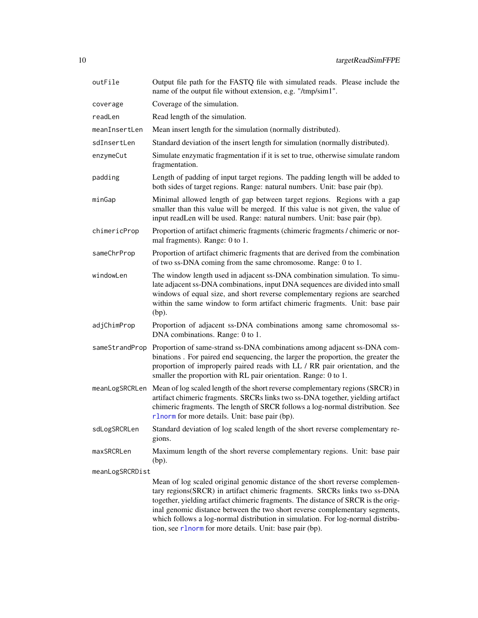| outFile         | Output file path for the FASTQ file with simulated reads. Please include the<br>name of the output file without extension, e.g. "/tmp/sim1".                                                                                                                                                                                                                                                                     |
|-----------------|------------------------------------------------------------------------------------------------------------------------------------------------------------------------------------------------------------------------------------------------------------------------------------------------------------------------------------------------------------------------------------------------------------------|
| coverage        | Coverage of the simulation.                                                                                                                                                                                                                                                                                                                                                                                      |
| readLen         | Read length of the simulation.                                                                                                                                                                                                                                                                                                                                                                                   |
| meanInsertLen   | Mean insert length for the simulation (normally distributed).                                                                                                                                                                                                                                                                                                                                                    |
| sdInsertLen     | Standard deviation of the insert length for simulation (normally distributed).                                                                                                                                                                                                                                                                                                                                   |
| enzymeCut       | Simulate enzymatic fragmentation if it is set to true, otherwise simulate random<br>fragmentation.                                                                                                                                                                                                                                                                                                               |
| padding         | Length of padding of input target regions. The padding length will be added to<br>both sides of target regions. Range: natural numbers. Unit: base pair (bp).                                                                                                                                                                                                                                                    |
| minGap          | Minimal allowed length of gap between target regions. Regions with a gap<br>smaller than this value will be merged. If this value is not given, the value of<br>input readLen will be used. Range: natural numbers. Unit: base pair (bp).                                                                                                                                                                        |
| chimericProp    | Proportion of artifact chimeric fragments (chimeric fragments / chimeric or nor-<br>mal fragments). Range: 0 to 1.                                                                                                                                                                                                                                                                                               |
| sameChrProp     | Proportion of artifact chimeric fragments that are derived from the combination<br>of two ss-DNA coming from the same chromosome. Range: 0 to 1.                                                                                                                                                                                                                                                                 |
| windowLen       | The window length used in adjacent ss-DNA combination simulation. To simu-<br>late adjacent ss-DNA combinations, input DNA sequences are divided into small<br>windows of equal size, and short reverse complementary regions are searched<br>within the same window to form artifact chimeric fragments. Unit: base pair<br>$(bp)$ .                                                                            |
| adjChimProp     | Proportion of adjacent ss-DNA combinations among same chromosomal ss-<br>DNA combinations. Range: 0 to 1.                                                                                                                                                                                                                                                                                                        |
| sameStrandProp  | Proportion of same-strand ss-DNA combinations among adjacent ss-DNA com-<br>binations. For paired end sequencing, the larger the proportion, the greater the<br>proportion of improperly paired reads with LL / RR pair orientation, and the<br>smaller the proportion with RL pair orientation. Range: 0 to 1.                                                                                                  |
|                 | meanLogSRCRLen Mean of log scaled length of the short reverse complementary regions (SRCR) in<br>artifact chimeric fragments. SRCRs links two ss-DNA together, yielding artifact<br>chimeric fragments. The length of SRCR follows a log-normal distribution. See<br>rlnorm for more details. Unit: base pair (bp).                                                                                              |
| sdLogSRCRLen    | Standard deviation of log scaled length of the short reverse complementary re-<br>gions.                                                                                                                                                                                                                                                                                                                         |
| maxSRCRLen      | Maximum length of the short reverse complementary regions. Unit: base pair<br>$(bp)$ .                                                                                                                                                                                                                                                                                                                           |
| meanLogSRCRDist |                                                                                                                                                                                                                                                                                                                                                                                                                  |
|                 | Mean of log scaled original genomic distance of the short reverse complemen-<br>tary regions(SRCR) in artifact chimeric fragments. SRCRs links two ss-DNA<br>together, yielding artifact chimeric fragments. The distance of SRCR is the orig-<br>inal genomic distance between the two short reverse complementary segments,<br>which follows a log-normal distribution in simulation. For log-normal distribu- |

<span id="page-9-0"></span>

which follows a log-normal distribution in simulation. For log-normal distribution, see [rlnorm](#page-0-0) for more details. Unit: base pair (bp).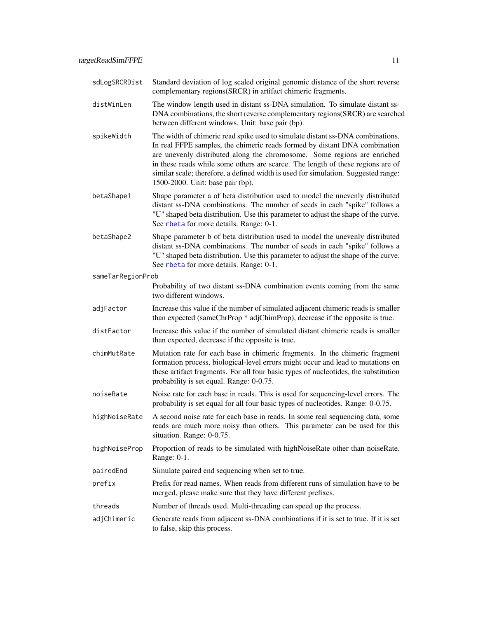<span id="page-10-0"></span>

| sdLogSRCRDist     | Standard deviation of log scaled original genomic distance of the short reverse<br>complementary regions(SRCR) in artifact chimeric fragments.                                                                                                                                                                                                                                                                                                        |
|-------------------|-------------------------------------------------------------------------------------------------------------------------------------------------------------------------------------------------------------------------------------------------------------------------------------------------------------------------------------------------------------------------------------------------------------------------------------------------------|
| distWinLen        | The window length used in distant ss-DNA simulation. To simulate distant ss-<br>DNA combinations, the short reverse complementary regions (SRCR) are searched<br>between different windows. Unit: base pair (bp).                                                                                                                                                                                                                                     |
| spikeWidth        | The width of chimeric read spike used to simulate distant ss-DNA combinations.<br>In real FFPE samples, the chimeric reads formed by distant DNA combination<br>are unevenly distributed along the chromosome. Some regions are enriched<br>in these reads while some others are scarce. The length of these regions are of<br>similar scale; therefore, a defined width is used for simulation. Suggested range:<br>1500-2000. Unit: base pair (bp). |
| betaShape1        | Shape parameter a of beta distribution used to model the unevenly distributed<br>distant ss-DNA combinations. The number of seeds in each "spike" follows a<br>"U" shaped beta distribution. Use this parameter to adjust the shape of the curve.<br>See rbeta for more details. Range: 0-1.                                                                                                                                                          |
| betaShape2        | Shape parameter b of beta distribution used to model the unevenly distributed<br>distant ss-DNA combinations. The number of seeds in each "spike" follows a<br>"U" shaped beta distribution. Use this parameter to adjust the shape of the curve.<br>See rbeta for more details. Range: 0-1.                                                                                                                                                          |
| sameTarRegionProb |                                                                                                                                                                                                                                                                                                                                                                                                                                                       |
|                   | Probability of two distant ss-DNA combination events coming from the same<br>two different windows.                                                                                                                                                                                                                                                                                                                                                   |
| adjFactor         | Increase this value if the number of simulated adjacent chimeric reads is smaller<br>than expected (sameChrProp * adjChimProp), decrease if the opposite is true.                                                                                                                                                                                                                                                                                     |
| distFactor        | Increase this value if the number of simulated distant chimeric reads is smaller<br>than expected, decrease if the opposite is true.                                                                                                                                                                                                                                                                                                                  |
| chimMutRate       | Mutation rate for each base in chimeric fragments. In the chimeric fragment<br>formation process, biological-level errors might occur and lead to mutations on<br>these artifact fragments. For all four basic types of nucleotides, the substitution<br>probability is set equal. Range: 0-0.75.                                                                                                                                                     |
| noiseRate         | Noise rate for each base in reads. This is used for sequencing-level errors. The<br>probability is set equal for all four basic types of nucleotides. Range: 0-0.75.                                                                                                                                                                                                                                                                                  |
| highNoiseRate     | A second noise rate for each base in reads. In some real sequencing data, some<br>reads are much more noisy than others. This parameter can be used for this<br>situation. Range: 0-0.75.                                                                                                                                                                                                                                                             |
| highNoiseProp     | Proportion of reads to be simulated with highNoiseRate other than noiseRate.<br>Range: 0-1.                                                                                                                                                                                                                                                                                                                                                           |
| pairedEnd         | Simulate paired end sequencing when set to true.                                                                                                                                                                                                                                                                                                                                                                                                      |
| prefix            | Prefix for read names. When reads from different runs of simulation have to be<br>merged, please make sure that they have different prefixes.                                                                                                                                                                                                                                                                                                         |
| threads           | Number of threads used. Multi-threading can speed up the process.                                                                                                                                                                                                                                                                                                                                                                                     |
| adjChimeric       | Generate reads from adjacent ss-DNA combinations if it is set to true. If it is set<br>to false, skip this process.                                                                                                                                                                                                                                                                                                                                   |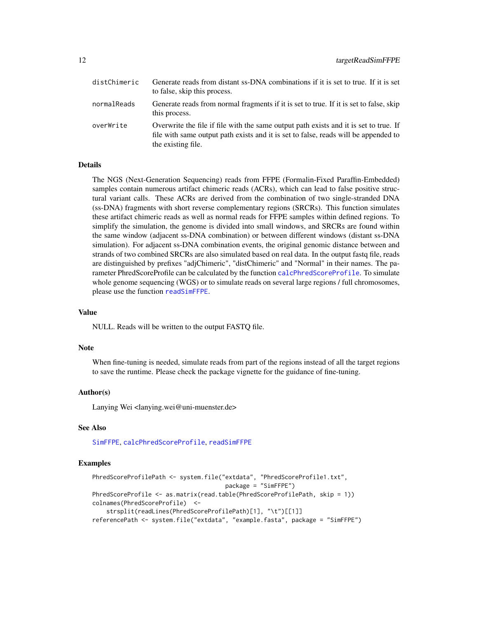<span id="page-11-0"></span>

| distChimeric | Generate reads from distant ss-DNA combinations if it is set to true. If it is set<br>to false, skip this process.                                                                                 |
|--------------|----------------------------------------------------------------------------------------------------------------------------------------------------------------------------------------------------|
| normalReads  | Generate reads from normal fragments if it is set to true. If it is set to false, skip<br>this process.                                                                                            |
| overWrite    | Overwrite the file if file with the same output path exists and it is set to true. If<br>file with same output path exists and it is set to false, reads will be appended to<br>the existing file. |

#### Details

The NGS (Next-Generation Sequencing) reads from FFPE (Formalin-Fixed Paraffin-Embedded) samples contain numerous artifact chimeric reads (ACRs), which can lead to false positive structural variant calls. These ACRs are derived from the combination of two single-stranded DNA (ss-DNA) fragments with short reverse complementary regions (SRCRs). This function simulates these artifact chimeric reads as well as normal reads for FFPE samples within defined regions. To simplify the simulation, the genome is divided into small windows, and SRCRs are found within the same window (adjacent ss-DNA combination) or between different windows (distant ss-DNA simulation). For adjacent ss-DNA combination events, the original genomic distance between and strands of two combined SRCRs are also simulated based on real data. In the output fastq file, reads are distinguished by prefixes "adjChimeric", "distChimeric" and "Normal" in their names. The parameter PhredScoreProfile can be calculated by the function [calcPhredScoreProfile](#page-2-1). To simulate whole genome sequencing (WGS) or to simulate reads on several large regions / full chromosomes, please use the function [readSimFFPE](#page-4-1).

#### Value

NULL. Reads will be written to the output FASTQ file.

#### **Note**

When fine-tuning is needed, simulate reads from part of the regions instead of all the target regions to save the runtime. Please check the package vignette for the guidance of fine-tuning.

#### Author(s)

Lanying Wei <lanying.wei@uni-muenster.de>

#### See Also

[SimFFPE](#page-1-1), [calcPhredScoreProfile](#page-2-1), [readSimFFPE](#page-4-1)

#### Examples

```
PhredScoreProfilePath <- system.file("extdata", "PhredScoreProfile1.txt",
                                      package = "SimFFPE")
PhredScoreProfile <- as.matrix(read.table(PhredScoreProfilePath, skip = 1))
colnames(PhredScoreProfile) <-
    strsplit(readLines(PhredScoreProfilePath)[1], "\t")[[1]]
referencePath <- system.file("extdata", "example.fasta", package = "SimFFPE")
```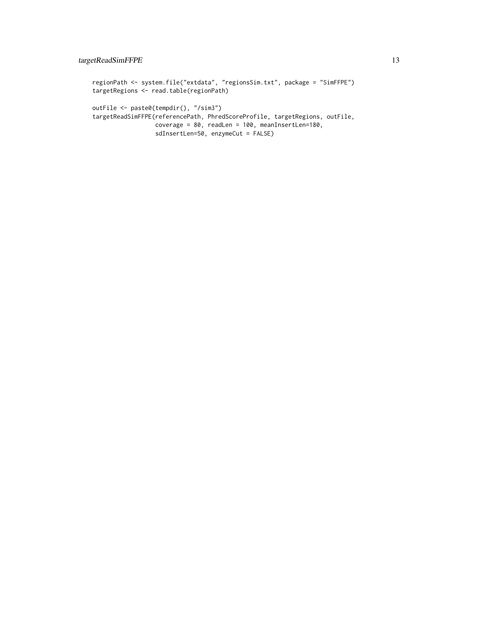```
regionPath <- system.file("extdata", "regionsSim.txt", package = "SimFFPE")
targetRegions <- read.table(regionPath)
outFile <- paste0(tempdir(), "/sim3")
targetReadSimFFPE(referencePath, PhredScoreProfile, targetRegions, outFile,
                 coverage = 80, readLen = 100, meanInsertLen=180,
                 sdInsertLen=50, enzymeCut = FALSE)
```